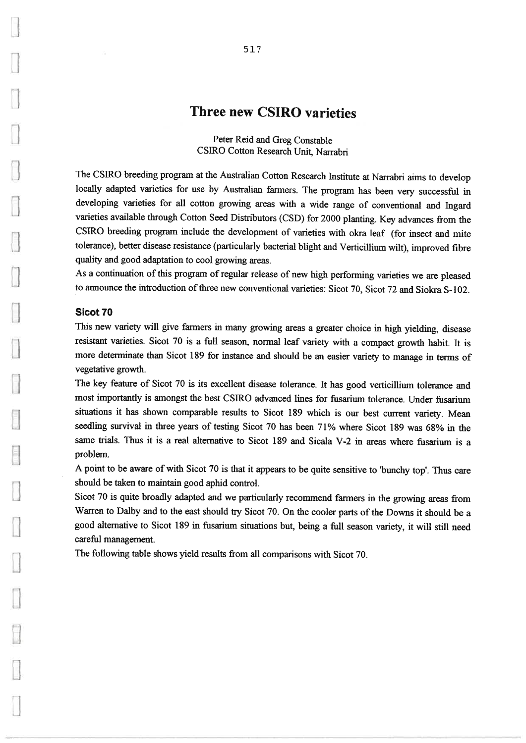# Three new CSIRO varieties

Peter Reid and Greg ConstableCSIRO Cotton Research Unit, Nanabri

The CSIRO breeding program at the Australian Cotton Research Institute at Narrabri aims to develop locally adapted varieties for use by Australian farmers. The program has been very successful in developing varieties for all cotton growing areas with a wide range of conventional and Ingard varieties available through Cotton Seed Distributors (CSD) for 2000 planting. Key advances from theCSIRO breeding program include the development of varieties with okra leaf (for insect and mite tolerance), better disease resistance (particularly bacterial blight and Verticillium wilt), improved fibre quality and good adaptation to cool growing areas.

As a continuation of this program of regular release of new high performing varieties we are pleased to announce the introduction of three new conventional varieties: Sicot 70, Sicot 72 and Siokra S-102

#### Sicot 70

 This new variety will give farmers in many growing areas a greater choice in high yielding, disease resistant varieties. SiCot 70 is a full season, normal leaf variety with a compact growth habit. It is more deterrimiate than SiCot 189 for instance and should be an easier variety to manage in terms ofvegetative growth.

The key feature of Sicot 70 is its excellent disease tolerance. It has good verticillium tolerance and most importantly is amongst the best CSIRO advanced lines for fusarium tolerance. Under fusarium situations it has shown comparable results to Sicot 189 which is our best current variety. Mean seedling survival in three years of testing Sicot 70 has been 71% where Sicot 189 was 68% in the same trials. Thus it is a real alternative to Sicot 189 and Sicala V-2 in areas where fusarium is a problem

A point to be aware of with Sicot 70 is that it appears to be quite sensitive to 'bunchy top'. Thus care should be taken to maintain good aphid control.

Sicot 70 is quite broadly adapted and we particularly recommend farmers in the growing areas from Warren to Dalby and to the east should try Sicot 70. On the cooler parts of the Downs it should be a good alternative to SiCot 189 in fiisarium situations but, being a full season variety, it will still needcareful management.

The following table shows yield results from all comparisons with Sicot 70.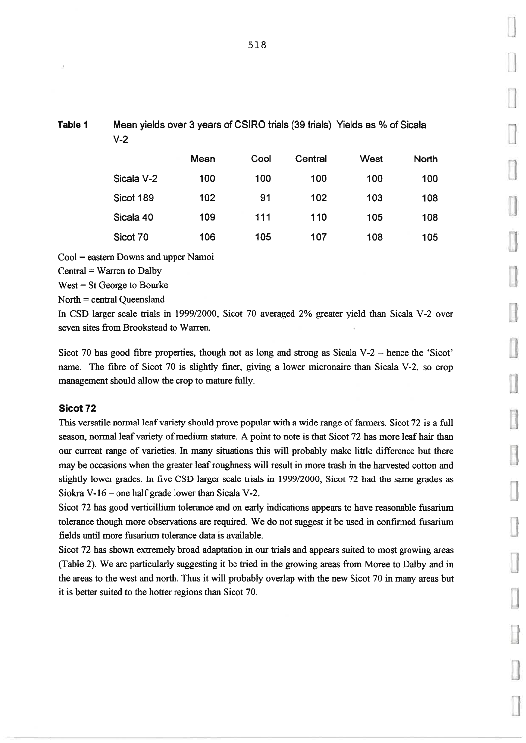Mean yields over 3 years of CSIRO trials (39 trials) Yields as % of Sicala V-2

|            | Mean | Cool | Central | <b>West</b> | <b>North</b> |
|------------|------|------|---------|-------------|--------------|
| Sicala V-2 | 100  | 100  | 100     | 100         | 100          |
| Sicot 189  | 102  | 91   | 102     | 103         | 108          |
| Sicala 40  | 109  | 111  | 110     | 105         | 108          |
| Sicot 70   | 106  | 105  | 107     | 108         | 105          |

 $Cool = eastern$  Downs and upper Namoi

 $Central = Warren to Dalby$ 

 $West = St George to Bourke$ 

 $North = central$  Queensland

In CSD larger scale trials in 1999/2000, Sicot 70 averaged 2% greater yield than Sicala V-2 over seven sites from Brookstead to Warren.

Sicot 70 has good fibre properties, though not as long and strong as Sicala V-2 - hence the 'Sicot' name. The fibre of Sicot 70 is slightly finer, giving a lower micronaire than Sicala V-2, so crop management should allow the crop to mature fully.

## Sicot<sub>72</sub>

This versatile normal leaf variety should prove popular with a wide range of farmers. Sicot 72 is a full season, normal leaf variety of medium stature. A point to note is that Sicot 72 has more leaf hair than our current range of varieties. In many situations this will probably make little difference but there may be occasions when the greater leafroughness will result in more trash in the harvested cotton and slightly lower grades. In five CSD larger scale trials in 1999/2000, Sicot 72 had the same grades as Siokra  $V-16$  - one half grade lower than Sicala V-2.

Sicot 72 has good verticillium tolerance and on early indications appears to have reasonable fusarium tolerance though more observations are required. We do not suggest it be used in confirmed fusarium fields until more fusarium tolerance data is available.

Sicot 72 has shown extremely broad adaptation in our trials and appears suited to most growing areas (Table 2). We are particularly suggesting it be tried in the growing areas from Moree to Dalby and in the areas to the west and north. Thus it will probably overlap with the new Sicot 70 in many areas but it is better suited to the hotter regions than Sicot 70.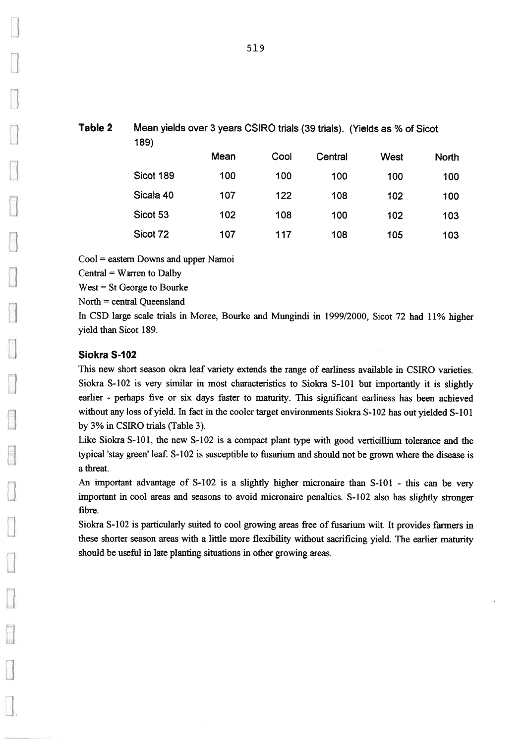| Table 2 | Mean yields over 3 years CSIRO trials (39 trials). (Yields as % of Sicot<br>189) |      |      |         |      |              |  |  |
|---------|----------------------------------------------------------------------------------|------|------|---------|------|--------------|--|--|
|         |                                                                                  | Mean | Cool | Central | West | <b>North</b> |  |  |
|         | Sicot 189                                                                        | 100  | 100  | 100     | 100  | 100          |  |  |

122

108

102

100

103

103

102

105

100

108

108

117

107

102

107

North = central Queensland In CSD large scale trials in Moree, Bourke and Mungindi in 1999/2000, Sicot 72 had 11% higher yield than Sicot 189.

#### Siokra S-102

Sicala 40

Sicot 53

Sicot 72

Cool = eastern Downs and upper Namoi

 $Central = Warren to Dalby$ West = St George to Bourke

This new short season okra leaf variety extends the range of earliness available in CSIRO varieties. Siokra S-102 is very similar in most characteristics to Siokra S-101 but importantly it is slightly earlier - perhaps five or six days faster to maturity. This significant earliness has been achievedwithout any loss of yield. In fact in the cooler target environments Siokra S-102 has out yielded S-101 by 3% in CSIRO trials (Table 3).

Like Siokra  $S-101$ , the new  $S-102$  is a compact plant type with good verticillium tolerance and the typical 'stay green' leaf. S-102 is susceptible to fusarium and should not be grown where the disease is a threat.

An important advantage of S-102 is a slightly higher micronaire than S-101 - this can be very important in cool areas and seasons to avoid micronaire penalties. S-102 also has slightly stronger fibre.

Siokra S-102 is particularly suited to cool growing areas free of fusarium wilt. It provides farmers in these shorter season areas with a little more flexibility without sacrificing yield. The earlier maturityshould be useful in late planting situations in other growing areas.